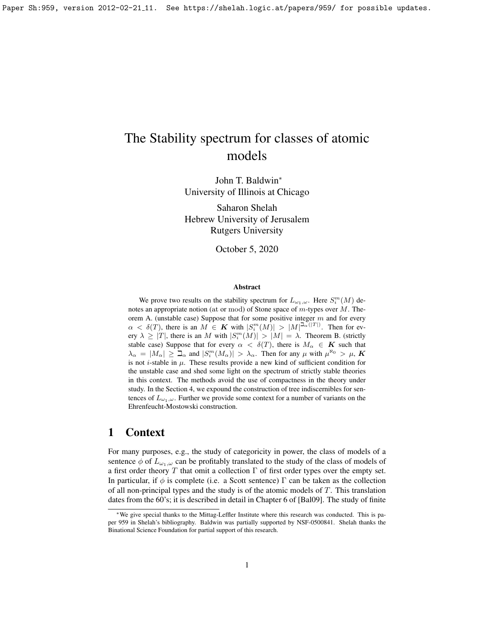# The Stability spectrum for classes of atomic models

John T. Baldwin<sup>∗</sup> University of Illinois at Chicago

Saharon Shelah Hebrew University of Jerusalem Rutgers University

October 5, 2020

#### Abstract

We prove two results on the stability spectrum for  $L_{\omega_1,\omega}$ . Here  $S_i^m(M)$  denotes an appropriate notion (at or mod) of Stone space of  $m$ -types over  $M$ . Theorem A. (unstable case) Suppose that for some positive integer  $m$  and for every  $\alpha < \delta(T)$ , there is an  $M \in K$  with  $|S_i^m(M)| > |M|^{|\mathfrak{a}(|T|)}$ . Then for every  $\lambda \geq |T|$ , there is an M with  $|S_i^m(M)| > |M| = \lambda$ . Theorem B. (strictly stable case) Suppose that for every  $\alpha < \delta(T)$ , there is  $M_{\alpha} \in K$  such that  $\lambda_{\alpha} = |M_{\alpha}| \geq \mathcal{L}_{\alpha}$  and  $|S_{i}^{m}(M_{\alpha})| > \lambda_{\alpha}$ . Then for any  $\mu$  with  $\mu^{\aleph_{0}} > \mu$ , K is not *i*-stable in  $\mu$ . These results provide a new kind of sufficient condition for the unstable case and shed some light on the spectrum of strictly stable theories in this context. The methods avoid the use of compactness in the theory under study. In the Section [4,](#page-11-0) we expound the construction of tree indiscernibles for sentences of  $L_{\omega_1,\omega}$ . Further we provide some context for a number of variants on the Ehrenfeucht-Mostowski construction.

# 1 Context

For many purposes, e.g., the study of categoricity in power, the class of models of a sentence  $\phi$  of  $L_{\omega_1,\omega}$  can be profitably translated to the study of the class of models of a first order theory T that omit a collection  $\Gamma$  of first order types over the empty set. In particular, if  $\phi$  is complete (i.e. a Scott sentence)  $\Gamma$  can be taken as the collection of all non-principal types and the study is of the atomic models of  $T$ . This translation dates from the 60's; it is described in detail in Chapter 6 of [\[Bal09\]](#page-16-0). The study of finite

<sup>∗</sup>We give special thanks to the Mittag-Leffler Institute where this research was conducted. This is paper 959 in Shelah's bibliography. Baldwin was partially supported by NSF-0500841. Shelah thanks the Binational Science Foundation for partial support of this research.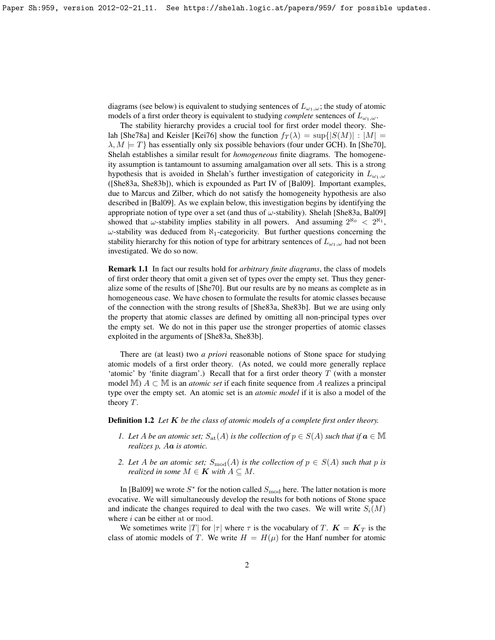diagrams (see below) is equivalent to studying sentences of  $L_{\omega_1,\omega}$ ; the study of atomic models of a first order theory is equivalent to studying *complete* sentences of  $L_{\omega_1,\omega}$ .

The stability hierarchy provides a crucial tool for first order model theory. She-lah [\[She78a\]](#page-17-0) and Keisler [\[Kei76\]](#page-17-1) show the function  $f_T(\lambda) = \sup\{|S(M)| : |M| =$  $\lambda, M \models T$  has essentially only six possible behaviors (four under GCH). In [\[She70\]](#page-17-2), Shelah establishes a similar result for *homogeneous* finite diagrams. The homogeneity assumption is tantamount to assuming amalgamation over all sets. This is a strong hypothesis that is avoided in Shelah's further investigation of categoricity in  $L_{\omega_1,\omega}$ ([\[She83a,](#page-17-3) [She83b\]](#page-18-0)), which is expounded as Part IV of [\[Bal09\]](#page-16-0). Important examples, due to Marcus and Zilber, which do not satisfy the homogeneity hypothesis are also described in [\[Bal09\]](#page-16-0). As we explain below, this investigation begins by identifying the appropriate notion of type over a set (and thus of  $\omega$ -stability). Shelah [\[She83a,](#page-17-3) [Bal09\]](#page-16-0) showed that  $\omega$ -stability implies stability in all powers. And assuming  $2^{\aleph_0} < 2^{\aleph_1}$ ,  $\omega$ -stability was deduced from  $\aleph_1$ -categoricity. But further questions concerning the stability hierarchy for this notion of type for arbitrary sentences of  $L_{\omega_1,\omega}$  had not been investigated. We do so now.

Remark 1.1 In fact our results hold for *arbitrary finite diagrams*, the class of models of first order theory that omit a given set of types over the empty set. Thus they generalize some of the results of [\[She70\]](#page-17-2). But our results are by no means as complete as in homogeneous case. We have chosen to formulate the results for atomic classes because of the connection with the strong results of [\[She83a,](#page-17-3) [She83b\]](#page-18-0). But we are using only the property that atomic classes are defined by omitting all non-principal types over the empty set. We do not in this paper use the stronger properties of atomic classes exploited in the arguments of [\[She83a,](#page-17-3) [She83b\]](#page-18-0).

There are (at least) two *a priori* reasonable notions of Stone space for studying atomic models of a first order theory. (As noted, we could more generally replace 'atomic' by 'finite diagram'.) Recall that for a first order theory  $T$  (with a monster model  $\mathbb{M}$ )  $A \subset \mathbb{M}$  is an *atomic set* if each finite sequence from A realizes a principal type over the empty set. An atomic set is an *atomic model* if it is also a model of the theory  $T$ .

Definition 1.2 *Let* K *be the class of atomic models of a complete first order theory.*

- *1. Let A be an atomic set;*  $S_{at}(A)$  *is the collection of*  $p \in S(A)$  *such that if*  $a \in M$ *realizes* p*,* Aa *is atomic.*
- *2. Let A be an atomic set;*  $S_{\text{mod}}(A)$  *is the collection of*  $p \in S(A)$  *such that* p *is realized in some*  $M \in \mathbf{K}$  *with*  $A \subseteq M$ .

In [\[Bal09\]](#page-16-0) we wrote  $S^*$  for the notion called  $S_{\text{mod}}$  here. The latter notation is more evocative. We will simultaneously develop the results for both notions of Stone space and indicate the changes required to deal with the two cases. We will write  $S_i(M)$ where  $i$  can be either at or mod.

We sometimes write |T| for  $|\tau|$  where  $\tau$  is the vocabulary of T.  $\mathbf{K} = \mathbf{K}_T$  is the class of atomic models of T. We write  $H = H(\mu)$  for the Hanf number for atomic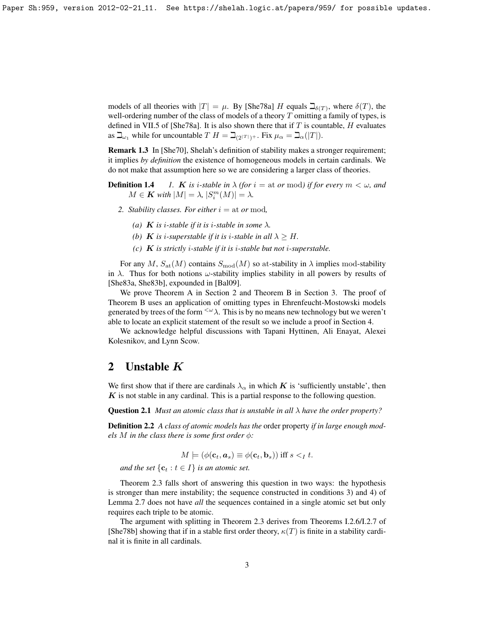models of all theories with  $|T| = \mu$ . By [\[She78a\]](#page-17-0) H equals  $\mathcal{L}_{\delta(T)}$ , where  $\delta(T)$ , the well-ordering number of the class of models of a theory  $T$  omitting a family of types, is defined in VII.5 of [\[She78a\]](#page-17-0). It is also shown there that if T is countable, H evaluates as  $\beth_{\omega_1}$  while for uncountable  $T H = \beth_{(2|T|)+}$ . Fix  $\mu_\alpha = \beth_\alpha(|T|)$ .

Remark 1.3 In [\[She70\]](#page-17-2), Shelah's definition of stability makes a stronger requirement; it implies *by definition* the existence of homogeneous models in certain cardinals. We do not make that assumption here so we are considering a larger class of theories.

**Definition 1.4** *1. K is i-stable in*  $\lambda$  *(for*  $i =$  at *or* mod*) if for every*  $m < \omega$ *, and*  $M \in \mathbf{K}$  with  $|M| = \lambda$ ,  $|S_i^m(M)| = \lambda$ .

- 2. Stability classes. For either  $i = at$  or mod,
	- (a) **K** is *i*-stable if it is *i*-stable in some  $\lambda$ .
	- *(b) K is i-superstable if it is i-stable in all*  $\lambda > H$ .
	- *(c)* K *is strictly* i*-stable if it is* i*-stable but not* i*-superstable.*

For any M,  $S_{\text{at}}(M)$  contains  $S_{\text{mod}}(M)$  so at-stability in  $\lambda$  implies mod-stability in  $\lambda$ . Thus for both notions  $\omega$ -stability implies stability in all powers by results of [\[She83a,](#page-17-3) [She83b\]](#page-18-0), expounded in [\[Bal09\]](#page-16-0).

We prove Theorem A in Section [2](#page-2-0) and Theorem B in Section [3.](#page-6-0) The proof of Theorem B uses an application of omitting types in Ehrenfeucht-Mostowski models generated by trees of the form  $\langle w \rangle$ . This is by no means new technology but we weren't able to locate an explicit statement of the result so we include a proof in Section [4.](#page-11-0)

We acknowledge helpful discussions with Tapani Hyttinen, Ali Enayat, Alexei Kolesnikov, and Lynn Scow.

# <span id="page-2-0"></span>2 Unstable K

We first show that if there are cardinals  $\lambda_{\alpha}$  in which K is 'sufficiently unstable', then  $K$  is not stable in any cardinal. This is a partial response to the following question.

Question 2.1 *Must an atomic class that is unstable in all* λ *have the order property?*

Definition 2.2 *A class of atomic models has the* order property *if in large enough models M in the class there is some first order*  $\phi$ *:* 

$$
M \models (\phi(\mathbf{c}_t, \mathbf{a}_s) \equiv \phi(\mathbf{c}_t, \mathbf{b}_s)) \text{ iff } s <_I t.
$$

*and the set*  $\{c_t : t \in I\}$  *is an atomic set.* 

Theorem [2.3](#page-2-1) falls short of answering this question in two ways: the hypothesis is stronger than mere instability; the sequence constructed in conditions 3) and 4) of Lemma [2.7](#page-3-0) does not have *all* the sequences contained in a single atomic set but only requires each triple to be atomic.

<span id="page-2-1"></span>The argument with splitting in Theorem [2.3](#page-2-1) derives from Theorems I.2.6/I.2.7 of [\[She78b\]](#page-17-4) showing that if in a stable first order theory,  $\kappa(T)$  is finite in a stability cardinal it is finite in all cardinals.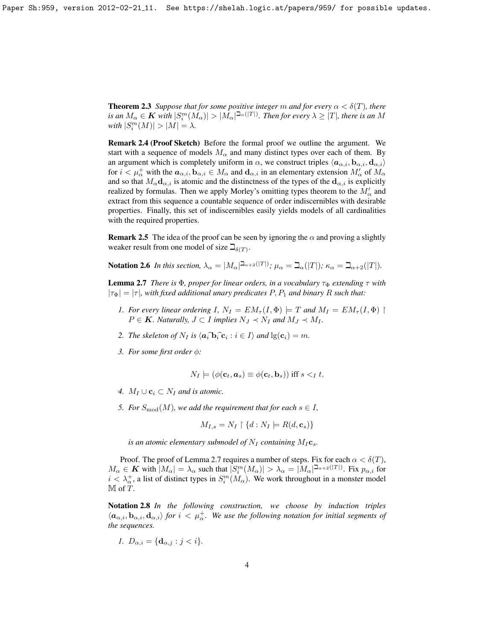**Theorem 2.3** *Suppose that for some positive integer* m *and for every*  $\alpha < \delta(T)$ *, there* is an  $M_\alpha$   $\in$   $\bm{K}$  with  $|S_i^m(M_\alpha)|>|M_\alpha|^{ \beth_\alpha(|T|)}.$  Then for every  $\lambda$   $\geq$   $|T|$ , there is an  $M$  $with |S_i^m(M)| > |M| = \lambda.$ 

Remark 2.4 (Proof Sketch) Before the formal proof we outline the argument. We start with a sequence of models  $M_{\alpha}$  and many distinct types over each of them. By an argument which is completely uniform in  $\alpha$ , we construct triples  $\langle a_{\alpha,i}, b_{\alpha,i}, d_{\alpha,i} \rangle$ for  $i < \mu_{\alpha}^+$  with the  $a_{\alpha,i}$ ,  $b_{\alpha,i} \in M_\alpha$  and  $d_{\alpha,i}$  in an elementary extension  $M'_\alpha$  of  $M_\alpha$ and so that  $M_{\alpha}$ **d** $_{\alpha,i}$  is atomic and the distinctness of the types of the **d** $_{\alpha,i}$  is explicitly realized by formulas. Then we apply Morley's omitting types theorem to the  $M'_{\alpha}$  and extract from this sequence a countable sequence of order indiscernibles with desirable properties. Finally, this set of indiscernibles easily yields models of all cardinalities with the required properties.

**Remark 2.5** The idea of the proof can be seen by ignoring the  $\alpha$  and proving a slightly weaker result from one model of size  $\Box_{\delta(T)}$ .

Notation 2.6 *In this section,*  $\lambda_{\alpha} = |M_{\alpha}|^{\sum_{\alpha} 2(|T|)}$ ;  $\mu_{\alpha} = \sum_{\alpha} (|T|)$ ;  $\kappa_{\alpha} = \sum_{\alpha+2} (|T|)$ .

<span id="page-3-0"></span>**Lemma 2.7** *There is*  $\Phi$ *, proper for linear orders, in a vocabulary*  $\tau_{\Phi}$  *extending*  $\tau$  *with*  $|\tau_{\Phi}| = |\tau|$ , with fixed additional unary predicates P, P<sub>1</sub> and binary R such that:

- *1. For every linear ordering I,*  $N_I = EM_\tau(I, \Phi) \models T$  *and*  $M_I = EM_\tau(I, \Phi)$  $P \in \mathbf{K}$ *. Naturally,*  $J \subset I$  *implies*  $N_J \prec N_I$  *and*  $M_J \prec M_I$ *.*
- 2. The skeleton of  $N_I$  is  $\langle a_i \mathbf{\hat{b}}_i \mathbf{\hat{c}}_i : i \in I \rangle$  and  $\lg(\mathbf{c}_i) = m$ .
- *3. For some first order* φ*:*

$$
N_I \models (\phi(\mathbf{c}_t, \mathbf{a}_s) \equiv \phi(\mathbf{c}_t, \mathbf{b}_s)) \text{ iff } s <_I t.
$$

- *4.*  $M_I \cup c_i \subset N_I$  *and is atomic.*
- *5. For*  $S_{\text{mod}}(M)$ *, we add the requirement that for each*  $s \in I$ *,*

$$
M_{I,s} = N_I \upharpoonright \{d : N_I \models R(d, \mathbf{c}_s)\}
$$

*is an atomic elementary submodel of*  $N_I$  *containing*  $M_I$ **c**<sub>s</sub>.

Proof. The proof of Lemma [2.7](#page-3-0) requires a number of steps. Fix for each  $\alpha < \delta(T)$ ,  $M_{\alpha} \in \mathbf{K}$  with  $|M_{\alpha}| = \lambda_{\alpha}$  such that  $|S_i^m(M_{\alpha})| > \lambda_{\alpha} = |M_{\alpha}|^{\sum_{\alpha} \lambda_i}$  Fix  $p_{\alpha,i}$  for  $i < \lambda_{\alpha}^+$ , a list of distinct types in  $S_i^m(M_{\alpha})$ . We work throughout in a monster model M of T.

Notation 2.8 *In the following construction, we choose by induction triples*  $\langle a_{\alpha,i}, b_{\alpha,i}, d_{\alpha,i} \rangle$  *for*  $i < \mu^+_{\alpha}$ . We use the following notation for initial segments of *the sequences.*

$$
I. \ D_{\alpha,i} = \{\mathbf{d}_{\alpha,j} : j < i\}.
$$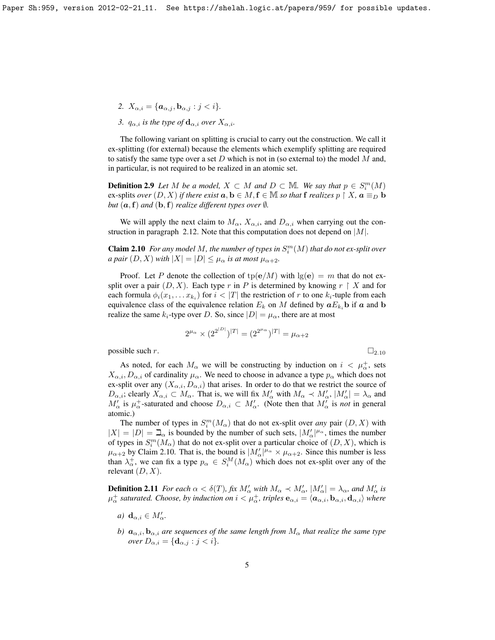- 2.  $X_{\alpha,i} = {\mathbf{a}_{\alpha,j}, \mathbf{b}_{\alpha,j} : j < i}.$
- *3.*  $q_{\alpha,i}$  *is the type of*  $\mathbf{d}_{\alpha,i}$  *over*  $X_{\alpha,i}$ *.*

The following variant on splitting is crucial to carry out the construction. We call it ex-splitting (for external) because the elements which exemplify splitting are required to satisfy the same type over a set  $D$  which is not in (so external to) the model  $M$  and, in particular, is not required to be realized in an atomic set.

**Definition 2.9** Let M be a model,  $X \subset M$  and  $D \subset M$ . We say that  $p \in S_i^m(M)$ ex-splits *over*  $(D, X)$  *if there exist*  $a, b \in M, f \in M$  *so that* f *realizes*  $p \restriction X$ ,  $a \equiv_D b$ *but*  $(a, f)$  *and*  $(b, f)$  *realize different types over*  $\emptyset$ *.* 

We will apply the next claim to  $M_{\alpha}$ ,  $X_{\alpha,i}$ , and  $D_{\alpha,i}$  when carrying out the con-struction in paragraph [2.12.](#page-5-0) Note that this computation does not depend on  $|M|$ .

<span id="page-4-0"></span>**Claim 2.10** For any model M, the number of types in  $S_i^m(M)$  that do not ex-split over *a pair*  $(D, X)$  *with*  $|X| = |D| \leq \mu_{\alpha}$  *is at most*  $\mu_{\alpha+2}$ *.* 

Proof. Let P denote the collection of  $tp(e/M)$  with  $lg(e) = m$  that do not exsplit over a pair  $(D, X)$ . Each type r in P is determined by knowing  $r \restriction X$  and for each formula  $\phi_i(x_1, \ldots x_{k_i})$  for  $i < |T|$  the restriction of r to one  $k_i$ -tuple from each equivalence class of the equivalence relation  $E_k$  on M defined by  $aE_{k_i}$  if a and b realize the same  $k_i$ -type over D. So, since  $|D| = \mu_\alpha$ , there are at most

$$
2^{\mu_{\alpha}} \times (2^{2^{|D|}})^{|T|} = (2^{2^{\mu_{\alpha}}})^{|T|} = \mu_{\alpha+2}
$$

possible such r.  $\Box_{2.10}$  $\Box_{2.10}$  $\Box_{2.10}$ 

As noted, for each  $M_{\alpha}$  we will be constructing by induction on  $i < \mu_{\alpha}^{+}$ , sets  $X_{\alpha,i}, D_{\alpha,i}$  of cardinality  $\mu_{\alpha}$ . We need to choose in advance a type  $p_{\alpha}$  which does not ex-split over any  $(X_{\alpha,i}, D_{\alpha,i})$  that arises. In order to do that we restrict the source of  $D_{\alpha,i}$ ; clearly  $X_{\alpha,i} \subset M_\alpha$ . That is, we will fix  $M'_\alpha$  with  $M_\alpha \prec M'_\alpha$ ,  $|M'_\alpha| = \lambda_\alpha$  and  $M'_\alpha$  is  $\mu^+_\alpha$ -saturated and choose  $D_{\alpha,i} \subset M'_\alpha$ . (Note then that  $M'_\alpha$  is *not* in general atomic.)

The number of types in  $S_i^m(M_\alpha)$  that do not ex-split over *any* pair  $(D, X)$  with  $|X| = |D| = \mathbb{Z}_{\alpha}$  is bounded by the number of such sets,  $|M'_{\alpha}|^{\mu_{\alpha}}$ , times the number of types in  $S_i^m(M_\alpha)$  that do not ex-split over a particular choice of  $(D,X)$ , which is  $\mu_{\alpha+2}$  by Claim [2.10.](#page-4-0) That is, the bound is  $|M'_\alpha|^{\mu_\alpha} \times \mu_{\alpha+2}$ . Since this number is less than  $\lambda_{\alpha}^{+}$ , we can fix a type  $p_{\alpha} \in S_i^M(M_{\alpha})$  which does not ex-split over any of the relevant  $(D, X)$ .

**Definition 2.11** *For each*  $\alpha < \delta(T)$ *, fix*  $M'_\alpha$  *with*  $M_\alpha \prec M'_{\alpha}$ ,  $|M'_\alpha| = \lambda_\alpha$ *, and*  $M'_\alpha$  *is*  $\mu^+_\alpha$  saturated. Choose, by induction on  $i<\mu^+_\alpha$ , triples  ${\bf e}_{\alpha,i}=\langle{\bf a}_{\alpha,i},{\bf b}_{\alpha,i},{\bf d}_{\alpha,i}\rangle$  where

- *a*)  $\mathbf{d}_{\alpha,i} \in M'_{\alpha}$ .
- *b)*  $a_{\alpha,i}, b_{\alpha,i}$  *are sequences of the same length from*  $M_{\alpha}$  *that realize the same type over*  $D_{\alpha,i} = {\mathbf{d}_{\alpha,j} : j < i}.$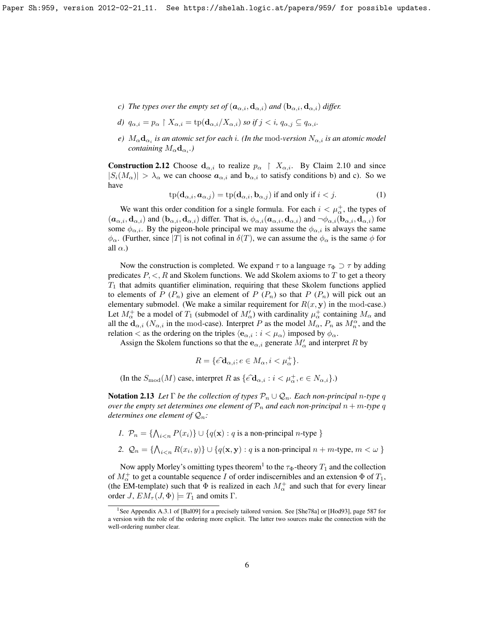- *c)* The types over the empty set of  $(a_{\alpha,i}, \mathbf{d}_{\alpha,i})$  and  $(\mathbf{b}_{\alpha,i}, \mathbf{d}_{\alpha,i})$  differ.
- *d)*  $q_{\alpha,i} = p_{\alpha} \restriction X_{\alpha,i} = \text{tp}(\mathbf{d}_{\alpha,i}/X_{\alpha,i})$  *so if*  $j < i$ *,*  $q_{\alpha,i} \subseteq q_{\alpha,i}$ *.*
- $e)$   $M_{\alpha} \mathbf{d}_{\alpha_i}$  *is an atomic set for each i*. (In the  $\operatorname{mod}$ -version  $N_{\alpha,i}$  *is an atomic model containing*  $M_{\alpha}d_{\alpha_i}$ .)

<span id="page-5-0"></span>**Construction 2.12** Choose  $d_{\alpha,i}$  to realize  $p_{\alpha} \restriction X_{\alpha,i}$ . By Claim [2.10](#page-4-0) and since  $|S_i(M_\alpha)| > \lambda_\alpha$  we can choose  $a_{\alpha,i}$  and  $b_{\alpha,i}$  to satisfy conditions b) and c). So we have

<span id="page-5-2"></span>
$$
tp(\mathbf{d}_{\alpha,i}, \mathbf{a}_{\alpha,j}) = tp(\mathbf{d}_{\alpha,i}, \mathbf{b}_{\alpha,j}) \text{ if and only if } i < j. \tag{1}
$$

We want this order condition for a single formula. For each  $i < \mu_{\alpha}^{+}$ , the types of  $(\bm{a}_{\alpha,i}, \bm{d}_{\alpha,i})$  and  $(\bm{b}_{\alpha,i}, \bm{d}_{\alpha,i})$  differ. That is,  $\phi_{\alpha,i}(\bm{a}_{\alpha,i}, \bm{d}_{\alpha,i})$  and  $\neg \phi_{\alpha,i}(\bm{b}_{\alpha,i}, \bm{d}_{\alpha,i})$  for some  $\phi_{\alpha,i}$ . By the pigeon-hole principal we may assume the  $\phi_{\alpha,i}$  is always the same  $\phi_{\alpha}$ . (Further, since |T| is not cofinal in  $\delta(T)$ , we can assume the  $\phi_{\alpha}$  is the same  $\phi$  for all  $\alpha$ .)

Now the construction is completed. We expand  $\tau$  to a language  $\tau_{\Phi} \supset \tau$  by adding predicates  $P, \leq, R$  and Skolem functions. We add Skolem axioms to T to get a theory  $T_1$  that admits quantifier elimination, requiring that these Skolem functions applied to elements of P  $(P_n)$  give an element of P  $(P_n)$  so that P  $(P_n)$  will pick out an elementary submodel. (We make a similar requirement for  $R(x, y)$  in the mod-case.) Let  $M^+_{\alpha}$  be a model of  $T_1$  (submodel of  $M'_{\alpha}$ ) with cardinality  $\mu^+_{\alpha}$  containing  $M_{\alpha}$  and all the  $d_{\alpha,i}$  ( $N_{\alpha,i}$  in the mod-case). Interpret P as the model  $M_{\alpha}$ ,  $P_n$  as  $M_n^{\alpha}$ , and the relation < as the ordering on the triples  $\langle e_{\alpha,i} : i < \mu_\alpha \rangle$  imposed by  $\phi_\alpha$ .

Assign the Skolem functions so that the  $e_{\alpha,i}$  generate  $M'_\alpha$  and interpret R by

$$
R = \{ \hat{e} \mathbf{\hat{d}}_{\alpha,i}; e \in M_\alpha, i < \mu_\alpha^+ \}.
$$

(In the  $S_{\text{mod}}(M)$  case, interpret R as  $\{ \hat{e} \mathbf{d}_{\alpha,i} : i \leq \mu^+_{\alpha}, e \in N_{\alpha,i} \}$ .)

<span id="page-5-3"></span>**Notation 2.13** Let  $\Gamma$  be the collection of types  $\mathcal{P}_n \cup \mathcal{Q}_n$ . Each non-principal *n*-type q *over the empty set determines one element of*  $\mathcal{P}_n$  *and each non-principal*  $n + m$ -type q *determines one element of*  $\mathcal{Q}_n$ *:* 

\n- $$
P_n = \{ \bigwedge_{i < n} P(x_i) \} \cup \{ q(\mathbf{x}) : q \text{ is a non-principal } n\text{-type } \}
$$
\n- $\mathcal{Q}_n = \{ \bigwedge_{i < n} R(x_i, y) \} \cup \{ q(\mathbf{x}, \mathbf{y}) : q \text{ is a non-principal } n + m\text{-type}, m < \omega \}$
\n

Now apply Morley's omitting types theorem<sup>[1](#page-5-1)</sup> to the  $\tau_{\Phi}$ -theory  $T_1$  and the collection of  $M^+_{\alpha}$  to get a countable sequence I of order indiscernibles and an extension  $\Phi$  of  $T_1$ , (the EM-template) such that  $\Phi$  is realized in each  $M_{\alpha}^{+}$  and such that for every linear order  $J$ ,  $EM_{\tau}(J, \Phi) \models T_1$  and omits  $\Gamma$ .

<span id="page-5-4"></span><span id="page-5-1"></span><sup>&</sup>lt;sup>1</sup>See Appendix A.3.1 of [\[Bal09\]](#page-16-0) for a precisely tailored version. See [\[She78a\]](#page-17-0) or [\[Hod93\]](#page-17-5), page 587 for a version with the role of the ordering more explicit. The latter two sources make the connection with the well-ordering number clear.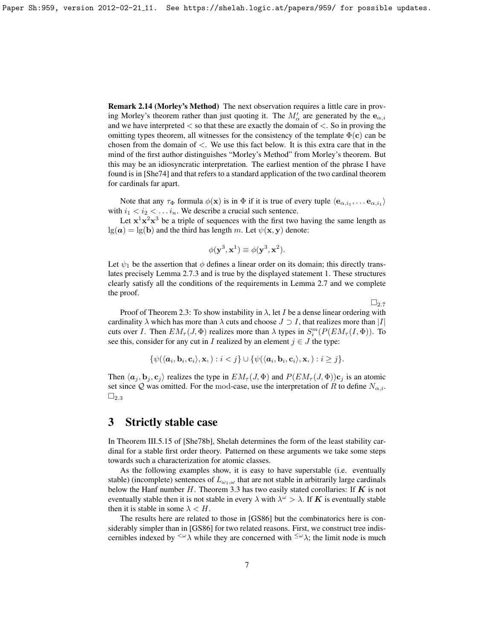Remark 2.14 (Morley's Method) The next observation requires a little care in proving Morley's theorem rather than just quoting it. The  $M'_{\alpha}$  are generated by the  $e_{\alpha,i}$ and we have interpreted  $\lt$  so that these are exactly the domain of  $\lt$ . So in proving the omitting types theorem, all witnesses for the consistency of the template  $\Phi(c)$  can be chosen from the domain of  $\lt$ . We use this fact below. It is this extra care that in the mind of the first author distinguishes "Morley's Method" from Morley's theorem. But this may be an idiosyncratic interpretation. The earliest mention of the phrase I have found is in [\[She74\]](#page-17-6) and that refers to a standard application of the two cardinal theorem for cardinals far apart.

Note that any  $\tau_{\Phi}$  formula  $\phi(\mathbf{x})$  is in  $\Phi$  if it is true of every tuple  $\langle \mathbf{e}_{\alpha,i_1}, \dots \mathbf{e}_{\alpha,i_1} \rangle$ with  $i_1 < i_2 < \ldots i_n$ . We describe a crucial such sentence.

Let  $x^1x^2x^3$  be a triple of sequences with the first two having the same length as  $lg(a) = lg(b)$  and the third has length m. Let  $\psi(\mathbf{x}, \mathbf{y})$  denote:

$$
\phi(\mathbf{y}^3, \mathbf{x}^1) \equiv \phi(\mathbf{y}^3, \mathbf{x}^2).
$$

Let  $\psi_1$  be the assertion that  $\phi$  defines a linear order on its domain; this directly translates precisely Lemma [2.7.](#page-3-0)3 and is true by the displayed statement [1.](#page-5-2) These structures clearly satisfy all the conditions of the requirements in Lemma [2.7](#page-3-0) and we complete the proof.

 $\square_{2.7}$  $\square_{2.7}$  $\square_{2.7}$ 

Proof of Theorem [2.3:](#page-2-1) To show instability in  $\lambda$ , let I be a dense linear ordering with cardinality  $\lambda$  which has more than  $\lambda$  cuts and choose  $J \supset I$ , that realizes more than  $|I|$ cuts over *I*. Then  $EM_{\tau}(J, \Phi)$  realizes more than  $\lambda$  types in  $S_i^m(P(EM_{\tau}(I, \Phi))$ . To see this, consider for any cut in I realized by an element  $j \in J$  the type:

$$
\{\psi(\langle \mathbf{a}_i, \mathbf{b}_i, \mathbf{c}_i \rangle, \mathbf{x},\,): i < j\} \cup \{\psi(\langle \mathbf{a}_i, \mathbf{b}_i, \mathbf{c}_i \rangle, \mathbf{x},\,): i \geq j\}.
$$

Then  $\langle a_j, b_j, c_j \rangle$  realizes the type in  $EM_\tau (J, \Phi)$  and  $P(EM_\tau (J, \Phi))c_j$  is an atomic set since Q was omitted. For the mod-case, use the interpretation of R to define  $N_{\alpha,i}$ .  $\square_{2.3}$  $\square_{2.3}$  $\square_{2.3}$ 

#### <span id="page-6-0"></span>3 Strictly stable case

In Theorem III.5.15 of [\[She78b\]](#page-17-4), Shelah determines the form of the least stability cardinal for a stable first order theory. Patterned on these arguments we take some steps towards such a characterization for atomic classes.

As the following examples show, it is easy to have superstable (i.e. eventually stable) (incomplete) sentences of  $L_{\omega_1,\omega}$  that are not stable in arbitrarily large cardinals below the Hanf number  $H$ . Theorem [3.3](#page-7-0) has two easily stated corollaries: If  $K$  is not eventually stable then it is not stable in every  $\lambda$  with  $\lambda^{\omega} > \lambda$ . If K is eventually stable then it is stable in some  $\lambda < H$ .

The results here are related to those in [\[GS86\]](#page-16-1) but the combinatorics here is considerably simpler than in [\[GS86\]](#page-16-1) for two related reasons. First, we construct tree indiscernibles indexed by  $\langle \omega \rangle$  while they are concerned with  $\langle \omega \rangle$ ; the limit node is much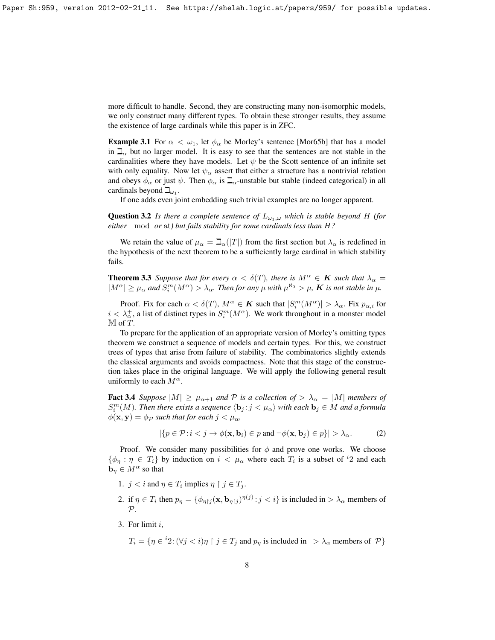more difficult to handle. Second, they are constructing many non-isomorphic models, we only construct many different types. To obtain these stronger results, they assume the existence of large cardinals while this paper is in ZFC.

**Example 3.1** For  $\alpha < \omega_1$ , let  $\phi_\alpha$  be Morley's sentence [\[Mor65b\]](#page-17-7) that has a model in  $\Box_{\alpha}$  but no larger model. It is easy to see that the sentences are not stable in the cardinalities where they have models. Let  $\psi$  be the Scott sentence of an infinite set with only equality. Now let  $\psi_{\alpha}$  assert that either a structure has a nontrivial relation and obeys  $\phi_{\alpha}$  or just  $\psi$ . Then  $\phi_{\alpha}$  is  $\Box_{\alpha}$ -unstable but stable (indeed categorical) in all cardinals beyond  $\Box_{\omega_1}$ .

If one adds even joint embedding such trivial examples are no longer apparent.

**Question 3.2** *Is there a complete sentence of*  $L_{\omega_1,\omega}$  *which is stable beyond* H *(for either* mod *or* at*) but fails stability for some cardinals less than* H*?*

We retain the value of  $\mu_{\alpha} = \beth_{\alpha}(|T|)$  from the first section but  $\lambda_{\alpha}$  is redefined in the hypothesis of the next theorem to be a sufficiently large cardinal in which stability fails.

<span id="page-7-0"></span>**Theorem 3.3** Suppose that for every  $\alpha < \delta(T)$ , there is  $M^{\alpha} \in K$  such that  $\lambda_{\alpha} =$  $|M^{\alpha}| \geq \mu_{\alpha}$  and  $S_i^m(M^{\alpha}) > \lambda_{\alpha}$ . Then for any  $\mu$  with  $\mu^{\aleph_0} > \mu$ , **K** is not stable in  $\mu$ .

Proof. Fix for each  $\alpha < \delta(T)$ ,  $M^{\alpha} \in \mathbf{K}$  such that  $|S_i^m(M^{\alpha})| > \lambda_{\alpha}$ . Fix  $p_{\alpha,i}$  for  $i < \lambda_{\alpha}^{+}$ , a list of distinct types in  $S_i^m(M^{\alpha})$ . We work throughout in a monster model  $M$  of  $T$ .

To prepare for the application of an appropriate version of Morley's omitting types theorem we construct a sequence of models and certain types. For this, we construct trees of types that arise from failure of stability. The combinatorics slightly extends the classical arguments and avoids compactness. Note that this stage of the construction takes place in the original language. We will apply the following general result uniformly to each  $M^{\alpha}$ .

<span id="page-7-1"></span>**Fact 3.4** *Suppose*  $|M| \ge \mu_{\alpha+1}$  *and* P *is a collection of*  $> \lambda_{\alpha} = |M|$  *members of*  $S_i^m(M)$ . Then there exists a sequence  $\langle \mathbf{b}_j : j < \mu_\alpha \rangle$  with each  $\mathbf{b}_j \in M$  and a formula  $\phi(\mathbf{x}, \mathbf{y}) = \phi_{\mathcal{P}}$  *such that for each*  $j < \mu_{\alpha}$ *,* 

<span id="page-7-2"></span>
$$
|\{p \in \mathcal{P} : i < j \to \phi(\mathbf{x}, \mathbf{b}_i) \in p \text{ and } \neg \phi(\mathbf{x}, \mathbf{b}_j) \in p\}| > \lambda_\alpha. \tag{2}
$$

Proof. We consider many possibilities for  $\phi$  and prove one works. We choose  $\{\phi_{\eta} : \eta \in T_i\}$  by induction on  $i < \mu_{\alpha}$  where each  $T_i$  is a subset of <sup>i</sup>2 and each  $\mathbf{b}_{\eta} \in M^{\alpha}$  so that

- 1.  $j < i$  and  $\eta \in T_i$  implies  $\eta \restriction j \in T_j$ .
- 2. if  $\eta \in T_i$  then  $p_\eta = {\phi_{\eta \upharpoonright j}(\mathbf{x}, \mathbf{b}_{\eta \upharpoonright j})^{\eta(j)} : j < i}$  is included in  $> \lambda_\alpha$  members of  $\mathcal{P}$ .
- 3. For limit i,

 $T_i = \{ \eta \in {}^{i}2 \cdot (\forall j \le i) \eta \restriction j \in T_j \text{ and } p_\eta \text{ is included in } > \lambda_\alpha \text{ members of } \mathcal{P} \}$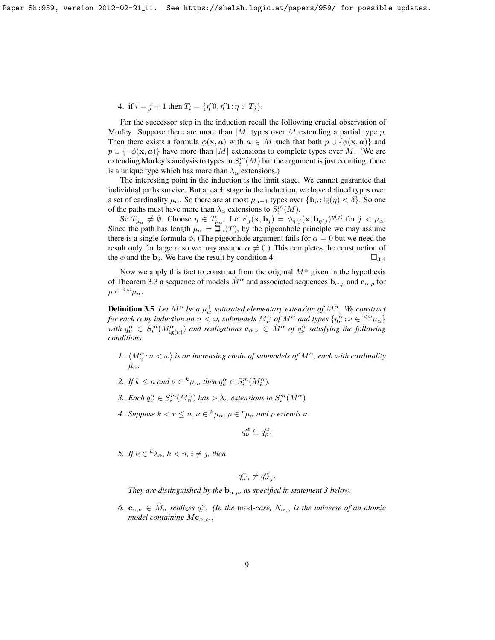4. if  $i = j + 1$  then  $T_i = \{\eta \hat{p}_i, \eta \hat{p}_i : \eta \in T_i\}.$ 

For the successor step in the induction recall the following crucial observation of Morley. Suppose there are more than  $|M|$  types over M extending a partial type p. Then there exists a formula  $\phi(\mathbf{x}, a)$  with  $a \in M$  such that both  $p \cup \{\phi(\mathbf{x}, a)\}\$  and  $p \cup {\neg \phi(\mathbf{x}, a)}$  have more than |M| extensions to complete types over M. (We are extending Morley's analysis to types in  $S_i^m(M)$  but the argument is just counting; there is a unique type which has more than  $\lambda_{\alpha}$  extensions.)

The interesting point in the induction is the limit stage. We cannot guarantee that individual paths survive. But at each stage in the induction, we have defined types over a set of cardinality  $\mu_{\alpha}$ . So there are at most  $\mu_{\alpha+1}$  types over  $\{b_{\eta}: \lg(\eta) < \delta\}$ . So one of the paths must have more than  $\lambda_{\alpha}$  extensions to  $S_i^m(M)$ .

So  $T_{\mu_{\alpha}} \neq \emptyset$ . Choose  $\eta \in T_{\mu_{\alpha}}$ . Let  $\phi_j(\mathbf{x}, \mathbf{b}_j) = \phi_{\eta \upharpoonright j}(\mathbf{x}, \mathbf{b}_{\eta \upharpoonright j})^{\eta(j)}$  for  $j < \mu_{\alpha}$ . Since the path has length  $\mu_{\alpha} = \beth_{\alpha}(T)$ , by the pigeonhole principle we may assume there is a single formula  $\phi$ . (The pigeonhole argument fails for  $\alpha = 0$  but we need the result only for large  $\alpha$  so we may assume  $\alpha \neq 0$ .) This completes the construction of the  $\phi$  and the  $\mathbf{b}_j$ . We have the result by condition 4.  $\square_{3.4}$  $\square_{3.4}$  $\square_{3.4}$ 

Now we apply this fact to construct from the original  $M^{\alpha}$  given in the hypothesis of Theorem [3.3](#page-7-0) a sequence of models  $\hat{M}^{\alpha}$  and associated sequences  $\mathbf{b}_{\alpha,\rho}$  and  $\mathbf{c}_{\alpha,\rho}$  for  $\rho \in {}^{<\omega}\mu_\alpha.$ 

<span id="page-8-0"></span>**Definition 3.5** Let  $\hat{M}^{\alpha}$  be a  $\mu_{\alpha}^{+}$  saturated elementary extension of  $M^{\alpha}$ . We construct *for each*  $\alpha$  *by induction on*  $n < \omega$ , submodels  $M_n^{\alpha}$  *of*  $M^{\alpha}$  *and types*  $\{q_\nu^{\alpha} : \nu \in {}^{< \omega}\mu_{\alpha}\}$ with  $q_\nu^\alpha \in S_i^m(M_{\lg(\nu)}^\alpha)$  and realizations  $\mathbf{c}_{\alpha,\nu} \in \hat{M}^\alpha$  of  $q_\nu^\alpha$  satisfying the following *conditions.*

- *1.*  $\langle M_n^{\alpha} : n \langle \omega \rangle$  *is an increasing chain of submodels of*  $M^{\alpha}$ *, each with cardinality* µα*.*
- 2. If  $k \leq n$  and  $\nu \in {^k\mu_{\alpha}}$ , then  $q_{\nu}^{\alpha} \in S_i^m(M_k^{\alpha})$ .
- 3. Each  $q_v^{\alpha} \in S_i^m(M_n^{\alpha})$  has  $> \lambda_{\alpha}$  extensions to  $S_i^m(M^{\alpha})$
- *4.* Suppose  $k < r \leq n$ ,  $\nu \in {^k\mu_{\alpha}}$ ,  $\rho \in {^r\mu_{\alpha}}$  and  $\rho$  extends  $\nu$ :

$$
q_{\nu}^{\alpha} \subseteq q_{\rho}^{\alpha}.
$$

*5.* If  $\nu \in {^k\lambda_\alpha}$ ,  $k < n$ ,  $i \neq j$ , then

$$
q_{\nu \widehat{\phantom{\alpha}} i}^{\alpha} \neq q_{\nu \widehat{\phantom{\alpha}} j}^{\alpha}.
$$

*They are distinguished by the*  $\mathbf{b}_{\alpha,\rho}$ *, as specified in statement 3 below.* 

<span id="page-8-1"></span>*6.*  $\mathbf{c}_{\alpha,\nu} \in \hat{M}_{\alpha}$  *realizes*  $q_{\nu}^{\alpha}$ *. (In the mod-case,*  $N_{\alpha,\rho}$  *is the universe of an atomic model containing*  $M_{\mathbf{c}_{\alpha,\rho}}$ *)*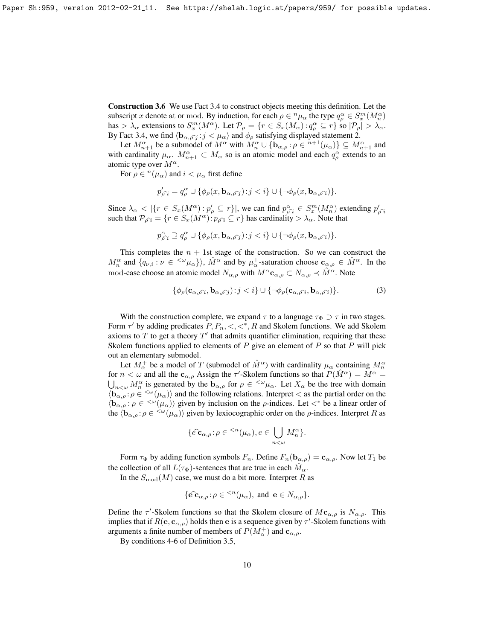Construction 3.6 We use Fact [3.4](#page-7-1) to construct objects meeting this definition. Let the subscript x denote at or mod. By induction, for each  $\rho \in {}^n\mu_\alpha$  the type  $q_\rho^\alpha \in S_x^m(M_n^\alpha)$ has  $> \lambda_{\alpha}$  extensions to  $S_x^m(M^{\alpha})$ . Let  $\mathcal{P}_{\rho} = \{r \in S_x(M_{\alpha}) : q_{\rho}^{\alpha} \subseteq r\}$  so  $|\mathcal{P}_{\rho}| > \lambda_{\alpha}$ . By Fact [3.4,](#page-7-1) we find  $\langle \mathbf{b}_{\alpha,\hat{\rho}} j : j < \mu_\alpha \rangle$  and  $\phi_\rho$  satisfying displayed statement [2.](#page-7-2)

Let  $M_{n+1}^{\alpha}$  be a submodel of  $M^{\alpha}$  with  $M_n^{\alpha} \cup \{b_{\alpha,\rho} : \rho \in {}^{n+1}(\mu_{\alpha})\} \subseteq M_{n+1}^{\alpha}$  and with cardinality  $\mu_{\alpha}$ .  $M_{n+1}^{\alpha} \subset M_{\alpha}$  so is an atomic model and each  $q_{\rho}^{\alpha}$  extends to an atomic type over  $M^{\alpha}$ .

For  $\rho \in {}^{n}(\mu_{\alpha})$  and  $i < \mu_{\alpha}$  first define

$$
p'_{\rho\widehat{i}} = q_{\rho}^{\alpha} \cup \{ \phi_{\rho}(x, \mathbf{b}_{\alpha, \rho\widehat{j}}) : j < i \} \cup \{ \neg \phi_{\rho}(x, \mathbf{b}_{\alpha, \rho\widehat{i}}) \}.
$$

Since  $\lambda_{\alpha} < |\{r \in S_x(M^{\alpha}) : p'_{\rho} \subseteq r\}|$ , we can find  $p^{\alpha}_{\rho} \in S_x^m(M^{\alpha})$  extending  $p'_{\rho}$ <sup>2</sup><br>such that  $\mathcal{D}_{\alpha} = \{r \in S, (M^{\alpha}) : n \in \mathbb{C}^n\}$  has cardinality  $\lambda$ . Note that such that  $\mathcal{P}_{\rho \hat{i}} = \{r \in S_x(M^{\alpha}) : p_{\rho \hat{i}} \subseteq r\}$  has cardinality  $> \lambda_{\alpha}$ . Note that

$$
p_{\rho \widehat{i}}^{\alpha} \supseteq q_{\rho}^{\alpha} \cup \{ \phi_{\rho}(x, \mathbf{b}_{\alpha, \widehat{\rho \jmath}}) : j < i \} \cup \{ \neg \phi_{\rho}(x, \mathbf{b}_{\alpha, \widehat{\rho \iota}}) \}.
$$

This completes the  $n + 1$ st stage of the construction. So we can construct the  $M_n^{\alpha}$  and  $\{q_{\nu,i} : \nu \in \langle^{\omega} \mu_{\alpha} \rangle \}$ ,  $\hat{M}^{\alpha}$  and by  $\mu_{\alpha}^+$ -saturation choose  $\mathbf{c}_{\alpha,\rho} \in \hat{M}^{\alpha}$ . In the mod-case choose an atomic model  $N_{\alpha,\rho}$  with  $M^{\alpha}$ **c**<sub> $\alpha,\rho$ </sub>  $\subset N_{\alpha,\rho} \prec \hat{M}^{\alpha}$ . Note

<span id="page-9-0"></span>
$$
\{\phi_{\rho}(\mathbf{c}_{\alpha,\hat{\rho i}}, \mathbf{b}_{\alpha,\hat{\rho j}}): j < i\} \cup \{\neg \phi_{\rho}(\mathbf{c}_{\alpha,\hat{\rho i}}, \mathbf{b}_{\alpha,\hat{\rho i}})\}.
$$
 (3)

With the construction complete, we expand  $\tau$  to a language  $\tau_{\Phi} \supset \tau$  in two stages. Form  $\tau'$  by adding predicates  $P, P_n, \lt, \lt^*, R$  and Skolem functions. We add Skolem axioms to  $T$  to get a theory  $T'$  that admits quantifier elimination, requiring that these Skolem functions applied to elements of  $P$  give an element of  $P$  so that  $P$  will pick out an elementary submodel.

Let  $M_{\alpha}^+$  be a model of T (submodel of  $\hat{M}^{\alpha}$ ) with cardinality  $\mu_{\alpha}$  containing  $M_n^{\alpha}$ for  $n < \omega$  and all the  $c_{\alpha,\rho}$  Assign the  $\tau'$ -Skolem functions so that  $P(\hat{M}^{\alpha}) = M^{\alpha} =$  $\bigcup_{n<\omega} M_n^{\alpha}$  is generated by the  $\mathbf{b}_{\alpha,\rho}$  for  $\rho \in \langle^{\omega} \mu_{\alpha}$ . Let  $X_{\alpha}$  be the tree with domain  $\langle \mathbf{b}_{\alpha,\rho} : \rho \in \langle \omega(\mu_{\alpha}) \rangle$  and the following relations. Interpret  $\langle$  as the partial order on the  $\langle \mathbf{b}_{\alpha,\rho} : \rho \in \langle^{\omega}(\mu_{\alpha}) \rangle$  given by inclusion on the  $\rho$ -indices. Let  $\langle^*$  be a linear order of the  $\langle \mathbf{b}_{\alpha,\rho} : \rho \in \langle^{\omega}(\mu_{\alpha}) \rangle$  given by lexiocographic order on the  $\rho$ -indices. Interpret R as

$$
\{\widehat{e\ c}_{\alpha,\rho};\rho\in{}^{
$$

Form  $\tau_{\Phi}$  by adding function symbols  $F_n$ . Define  $F_n(\mathbf{b}_{\alpha,\rho}) = \mathbf{c}_{\alpha,\rho}$ . Now let  $T_1$  be the collection of all  $L(\tau_{\Phi})$ -sentences that are true in each  $\hat{M}_{\alpha}$ .

In the  $S_{mod}(M)$  case, we must do a bit more. Interpret R as

$$
\{\widehat{\mathbf{e}}\mathbf{\widehat{c}}_{\alpha,\rho}\colon\rho\in{}^{
$$

Define the  $\tau'$ -Skolem functions so that the Skolem closure of  $Mc_{\alpha,\rho}$  is  $N_{\alpha,\rho}$ . This implies that if  $R(e, c_{\alpha,\rho})$  holds then e is a sequence given by  $\tau'$ -Skolem functions with arguments a finite number of members of  $P(M_{\alpha}^+)$  and  $\mathbf{c}_{\alpha,\rho}$ .

<span id="page-9-1"></span>By conditions 4-6 of Definition [3.5,](#page-8-0)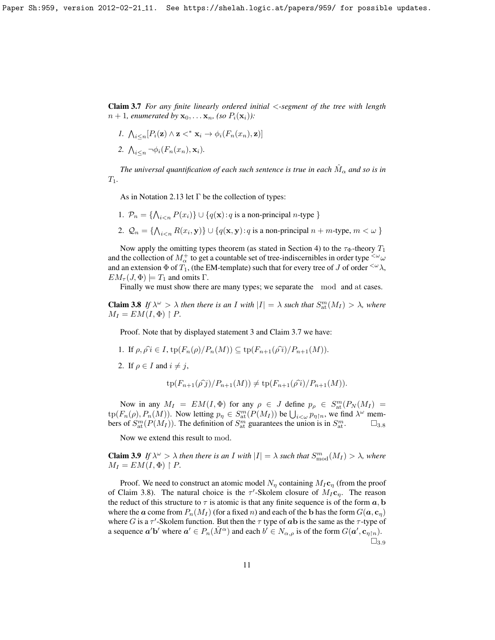Claim 3.7 *For any finite linearly ordered initial* <*-segment of the tree with length*  $n + 1$ *, enumerated by*  $\mathbf{x}_0, \ldots, \mathbf{x}_n$ *, (so P<sub>i</sub>*( $\mathbf{x}_i$ *))*:

- *1.*  $\bigwedge_{i \leq n} [P_i(\mathbf{z}) \wedge \mathbf{z} \prec^* \mathbf{x}_i \rightarrow \phi_i(F_n(x_n), \mathbf{z})]$
- 2.  $\bigwedge_{i \leq n} \neg \phi_i(F_n(x_n), \mathbf{x}_i)$ .

The universal quantification of each such sentence is true in each  $\hat M_\alpha$  and so is in T1*.*

As in Notation [2.13](#page-5-3) let  $\Gamma$  be the collection of types:

- 1.  $P_n = \{ \bigwedge_{i \le n} P(x_i) \} \cup \{ q(\mathbf{x}) : q \text{ is a non-principal } n \text{-type } \}$
- 2.  $Q_n = \{ \bigwedge_{i \le n} R(x_i, y) \} \cup \{ q(x, y) : q \text{ is a non-principal } n + m\text{-type}, m < \omega \}$

Now apply the omitting types theorem (as stated in Section [4\)](#page-11-0) to the  $\tau_{\Phi}$ -theory  $T_1$ and the collection of  $M^+_{\alpha}$  to get a countable set of tree-indiscernibles in order type  ${}^{<\omega}\omega$ and an extension  $\Phi$  of  $T_1$ , (the EM-template) such that for every tree of J of order  $\leq \omega \lambda$ ,  $EM_{\tau}(J, \Phi) \models T_1$  and omits  $\Gamma$ .

Finally we must show there are many types; we separate the mod and at cases.

<span id="page-10-0"></span>**Claim 3.8** If  $\lambda^{\omega} > \lambda$  then there is an I with  $|I| = \lambda$  such that  $S_{\text{at}}^{m}(M_{I}) > \lambda$ , where  $M_I = EM(I, \Phi) \upharpoonright P$ .

Proof. Note that by displayed statement [3](#page-9-0) and Claim [3.7](#page-9-1) we have:

- 1. If  $\rho, \rho \hat{\imath} \in I$ ,  $\text{tp}(F_n(\rho)/P_n(M)) \subseteq \text{tp}(F_{n+1}(\rho \hat{\imath})/P_{n+1}(M)).$
- 2. If  $\rho \in I$  and  $i \neq j$ ,

$$
tp(F_{n+1}(\hat{\rho\,j})/P_{n+1}(M)) \neq tp(F_{n+1}(\hat{\rho\,i})/P_{n+1}(M)).
$$

Now in any  $M_I = EM(I, \Phi)$  for any  $\rho \in J$  define  $p_\rho \in S_{\rm at}^m(P_N(M_I))$  $\text{tp}(F_n(\rho), P_n(M))$ . Now letting  $p_\eta \in S^m_\text{at}(P(M_I))$  be  $\bigcup_{i < \omega} p_{\eta \upharpoonright n}$ , we find  $\lambda^\omega$  members of  $S_{\text{at}}^m(P(M_I))$ . The definition of  $S_{\text{at}}^m$  guarantees the union is in  $S_{\text{at}}^m$ .  $\square_{3.8}$  $\square_{3.8}$  $\square_{3.8}$ 

Now we extend this result to mod.

<span id="page-10-1"></span>**Claim 3.9** If  $\lambda^{\omega} > \lambda$  then there is an I with  $|I| = \lambda$  such that  $S_{\text{mod}}^{m}(M_{I}) > \lambda$ , where  $M_I = EM(I, \Phi) \upharpoonright P$ .

Proof. We need to construct an atomic model  $N_n$  containing  $M_I c_n$  (from the proof of Claim [3.8\)](#page-10-0). The natural choice is the  $\tau'$ -Skolem closure of  $M_I c_{\eta}$ . The reason the reduct of this structure to  $\tau$  is atomic is that any finite sequence is of the form  $a$ , b where the a come from  $P_n(M_I)$  (for a fixed n) and each of the b has the form  $G(\mathbf{a}, \mathbf{c}_n)$ where G is a  $\tau'$ -Skolem function. But then the  $\tau$  type of ab is the same as the  $\tau$ -type of a sequence  $\mathbf{a}'\mathbf{b}'$  where  $\mathbf{a}' \in P_n(\hat{M}^{\alpha})$  and each  $b' \in N_{\alpha,\rho}$  is of the form  $G(\mathbf{a}', \mathbf{c}_{\eta \restriction n})$ .  $\square_{3.9}$  $\square_{3.9}$  $\square_{3.9}$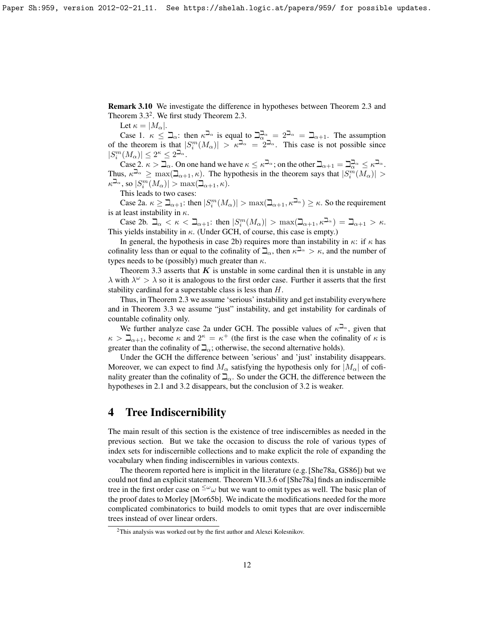Remark 3.10 We investigate the difference in hypotheses between Theorem [2.3](#page-2-1) and Theorem  $3.3<sup>2</sup>$  $3.3<sup>2</sup>$  $3.3<sup>2</sup>$ . We first study Theorem [2.3.](#page-2-1)

Let  $\kappa = |M_{\alpha}|$ .

Case 1.  $\kappa \leq \beth_{\alpha}$ : then  $\kappa^{\beth_{\alpha}}$  is equal to  $\beth_{\alpha}^{\beth_{\alpha}} = 2^{\beth_{\alpha}} = \beth_{\alpha+1}$ . The assumption of the theorem is that  $|S_i^m(M_\alpha)| > \kappa^{\frac{1}{2\alpha}} = 2^{\frac{1}{2\alpha}}$ . This case is not possible since  $|S_i^m(M_\alpha)| \leq 2^\kappa \leq 2^{\beth_\alpha}.$ 

Case 2.  $\kappa > \overline{\Delta}_{\alpha}$ . On one hand we have  $\kappa \leq \kappa^{\overline{\Delta}_{\alpha}}$ ; on the other  $\overline{\Delta}_{\alpha+1} = \overline{\Delta}_{\alpha}^{\overline{\Delta}_{\alpha}} \leq \kappa^{\overline{\Delta}_{\alpha}}$ . Thus,  $\kappa^{\beth_\alpha} \ge \max(\beth_{\alpha+1}, \kappa)$ . The hypothesis in the theorem says that  $|S_i^m(M_\alpha)| >$  $\kappa^{\beth_\alpha},$  so  $|S_i^m(M_\alpha)| > \max(\beth_{\alpha+1}, \kappa).$ 

This leads to two cases:

Case 2a.  $\kappa \geq \beth_{\alpha+1}$ : then  $|S_i^m(M_\alpha)| > \max(\beth_{\alpha+1}, \kappa^{\beth_\alpha}) \geq \kappa$ . So the requirement is at least instability in  $\kappa$ .

Case 2b.  $\Box_{\alpha} < \kappa < \Box_{\alpha+1}$ : then  $|S_i^m(M_{\alpha})| > \max(\Box_{\alpha+1}, \kappa^{\Box_{\alpha}}) = \Box_{\alpha+1} > \kappa$ . This yields instability in  $\kappa$ . (Under GCH, of course, this case is empty.)

In general, the hypothesis in case 2b) requires more than instability in  $\kappa$ : if  $\kappa$  has cofinality less than or equal to the cofinality of  $\Box_{\alpha}$ , then  $\kappa^{\Box_{\alpha}} > \kappa$ , and the number of types needs to be (possibly) much greater than  $\kappa$ .

Theorem [3.3](#page-7-0) asserts that  $K$  is unstable in some cardinal then it is unstable in any  $\lambda$  with  $\lambda^{\omega} > \lambda$  so it is analogous to the first order case. Further it asserts that the first stability cardinal for a superstable class is less than H.

Thus, in Theorem [2.3](#page-2-1) we assume 'serious' instability and get instability everywhere and in Theorem [3.3](#page-7-0) we assume "just" instability, and get instability for cardinals of countable cofinality only.

We further analyze case 2a under GCH. The possible values of  $\kappa^{\mathbb{Z}_{\alpha}}$ , given that  $\kappa > \mathbb{Z}_{\alpha+1}$ , become  $\kappa$  and  $2^{\kappa} = \kappa^+$  (the first is the case when the cofinality of  $\kappa$  is greater than the cofinality of  $\mathbb{Z}_{\alpha}$ ; otherwise, the second alternative holds).

Under the GCH the difference between 'serious' and 'just' instability disappears. Moreover, we can expect to find  $M_{\alpha}$  satisfying the hypothesis only for  $|M_{\alpha}|$  of cofinality greater than the cofinality of  $\mathbb{Z}_{\alpha}$ . So under the GCH, the difference between the hypotheses in 2.1 and 3.2 disappears, but the conclusion of 3.2 is weaker.

# <span id="page-11-0"></span>4 Tree Indiscernibility

The main result of this section is the existence of tree indiscernibles as needed in the previous section. But we take the occasion to discuss the role of various types of index sets for indiscernible collections and to make explicit the role of expanding the vocabulary when finding indiscernibles in various contexts.

The theorem reported here is implicit in the literature (e.g. [\[She78a,](#page-17-0) [GS86\]](#page-16-1)) but we could not find an explicit statement. Theorem VII.3.6 of [\[She78a\]](#page-17-0) finds an indiscernible tree in the first order case on  $\leq^{\omega} \omega$  but we want to omit types as well. The basic plan of the proof dates to Morley [\[Mor65b\]](#page-17-7). We indicate the modifications needed for the more complicated combinatorics to build models to omit types that are over indiscernible trees instead of over linear orders.

<span id="page-11-1"></span><sup>2</sup>This analysis was worked out by the first author and Alexei Kolesnikov.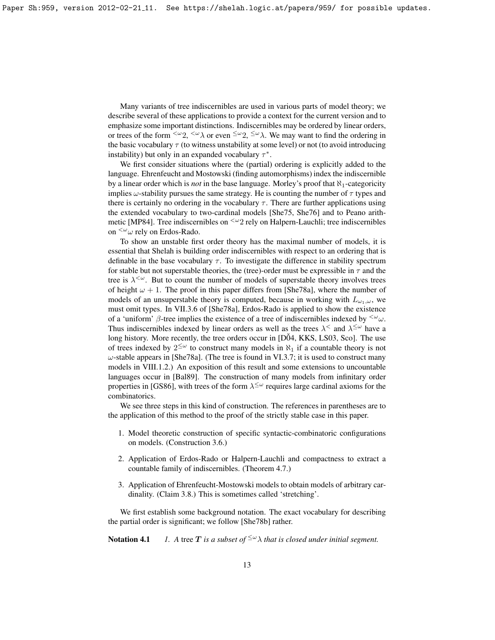Many variants of tree indiscernibles are used in various parts of model theory; we describe several of these applications to provide a context for the current version and to emphasize some important distinctions. Indiscernibles may be ordered by linear orders, or trees of the form  $\langle \omega_2, \langle \omega \rangle$  or even  $\langle \omega_2, \langle \omega \rangle$ . We may want to find the ordering in the basic vocabulary  $\tau$  (to witness unstability at some level) or not (to avoid introducing instability) but only in an expanded vocabulary  $\tau^*$ .

We first consider situations where the (partial) ordering is explicitly added to the language. Ehrenfeucht and Mostowski (finding automorphisms) index the indiscernible by a linear order which is *not* in the base language. Morley's proof that  $\aleph_1$ -categoricity implies  $\omega$ -stability pursues the same strategy. He is counting the number of  $\tau$  types and there is certainly no ordering in the vocabulary  $\tau$ . There are further applications using the extended vocabulary to two-cardinal models [\[She75,](#page-17-8) [She76\]](#page-17-9) and to Peano arith-metic [\[MP84\]](#page-17-10). Tree indiscernibles on  $\leq \omega_2$  rely on Halpern-Lauchli; tree indiscernibles on  $\langle \omega \rangle$  rely on Erdos-Rado.

To show an unstable first order theory has the maximal number of models, it is essential that Shelah is building order indiscernibles with respect to an ordering that is definable in the base vocabulary  $\tau$ . To investigate the difference in stability spectrum for stable but not superstable theories, the (tree)-order must be expressible in  $\tau$  and the tree is  $\lambda^{\leq \omega}$ . But to count the number of models of superstable theory involves trees of height  $\omega + 1$ . The proof in this paper differs from [\[She78a\]](#page-17-0), where the number of models of an unsuperstable theory is computed, because in working with  $L_{\omega_1,\omega}$ , we must omit types. In VII.3.6 of [\[She78a\]](#page-17-0), Erdos-Rado is applied to show the existence of a 'uniform'  $\beta$ -tree implies the existence of a tree of indiscernibles indexed by  $\langle \omega \rangle$ . Thus indiscernibles indexed by linear orders as well as the trees  $\lambda^{\le}$  and  $\lambda^{\leq \omega}$  have a long history. More recently, the tree orders occur in  $[D\tilde{O}4, KKS, LSO3, Sco]$  $[D\tilde{O}4, KKS, LSO3, Sco]$  $[D\tilde{O}4, KKS, LSO3, Sco]$  $[D\tilde{O}4, KKS, LSO3, Sco]$ . The use of trees indexed by  $2^{\leq \omega}$  to construct many models in  $\aleph_1$  if a countable theory is not  $\omega$ -stable appears in [\[She78a\]](#page-17-0). (The tree is found in VI.3.7; it is used to construct many models in VIII.1.2.) An exposition of this result and some extensions to uncountable languages occur in [\[Bal89\]](#page-16-3). The construction of many models from infinitary order properties in [\[GS86\]](#page-16-1), with trees of the form  $\lambda^{\leq \omega}$  requires large cardinal axioms for the combinatorics.

We see three steps in this kind of construction. The references in parentheses are to the application of this method to the proof of the strictly stable case in this paper.

- 1. Model theoretic construction of specific syntactic-combinatoric configurations on models. (Construction [3.6.](#page-8-1))
- 2. Application of Erdos-Rado or Halpern-Lauchli and compactness to extract a countable family of indiscernibles. (Theorem [4.7.](#page-14-0))
- 3. Application of Ehrenfeucht-Mostowski models to obtain models of arbitrary cardinality. (Claim [3.8.](#page-10-0)) This is sometimes called 'stretching'.

We first establish some background notation. The exact vocabulary for describing the partial order is significant; we follow [\[She78b\]](#page-17-4) rather.

<span id="page-12-0"></span>**Notation 4.1** *1.* A tree T is a subset of  $\leq \omega \lambda$  that is closed under initial segment.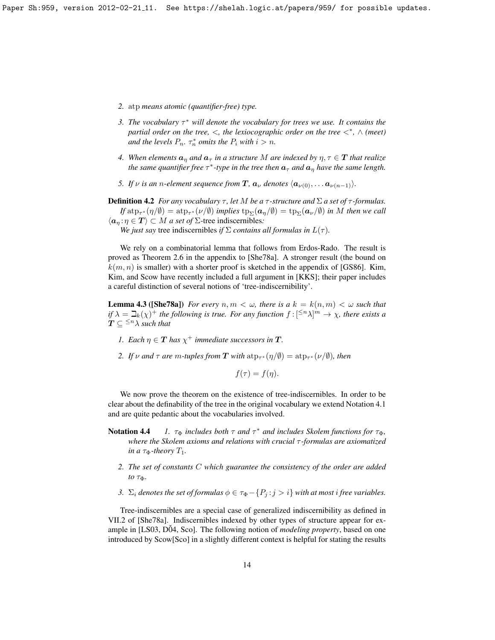- *2.* atp *means atomic (quantifier-free) type.*
- *3. The vocabulary* τ <sup>∗</sup> *will denote the vocabulary for trees we use. It contains the partial order on the tree,* <*, the lexiocographic order on the tree* <<sup>∗</sup> *,* ∧ *(meet)* and the levels  $P_n$ .  $\tau_n^*$  *omits the*  $P_i$  *with*  $i > n$ .
- *4. When elements*  $a_{\eta}$  *and*  $a_{\tau}$  *in a structure* M *are indexed* by  $\eta, \tau \in \mathbf{T}$  *that realize the same quantifier free*  $\tau^*$ -type in the tree then  $\boldsymbol{a}_{\tau}$  and  $\boldsymbol{a}_{\eta}$  have the same length.
- *5. If*  $\nu$  *is an n-element sequence from* **T***,*  $a_{\nu}$  *denotes*  $\langle a_{\nu(0)}, \ldots, a_{\nu(n-1)} \rangle$ *.*

**Definition 4.2** *For any vocabulary*  $\tau$ , *let* M *be a*  $\tau$ -structure and  $\Sigma$  *a set of*  $\tau$ -formulas.  $If \, \text{atp}_{\tau^*}(\eta/\emptyset) = \text{atp}_{\tau^*}(\nu/\emptyset)$  *implies*  $\text{tp}_{\Sigma}(\bm{a}_\eta/\emptyset) = \text{tp}_{\Sigma}(\bm{a}_\nu/\emptyset)$  *in M then we call*  $\langle a_n : \eta \in T \rangle \subset M$  *a set of*  $\Sigma$ -tree indiscernibles:

*We just say* tree indiscernibles *if*  $\Sigma$  *contains all formulas in*  $L(\tau)$ *.* 

We rely on a combinatorial lemma that follows from Erdos-Rado. The result is proved as Theorem 2.6 in the appendix to [\[She78a\]](#page-17-0). A stronger result (the bound on  $k(m, n)$  is smaller) with a shorter proof is sketched in the appendix of [\[GS86\]](#page-16-1). Kim, Kim, and Scow have recently included a full argument in [\[KKS\]](#page-17-11); their paper includes a careful distinction of several notions of 'tree-indiscernibility'.

<span id="page-13-0"></span>**Lemma 4.3 ([\[She78a\]](#page-17-0))** *For every*  $n, m < \omega$ , there is a  $k = k(n, m) < \omega$  such that *if*  $\lambda = \beth_k(\chi)^+$  *the following is true. For any function*  $f : [\leq^n \lambda]^m \to \chi$ *, there exists a*  $T \subseteq \leq^n \lambda$  *such that* 

- *1.* Each  $\eta \in T$  has  $\chi^+$  immediate successors in T.
- 2. If v and  $\tau$  are m-tuples from **T** with  $\mathrm{atp}_{\tau^*}(\eta/\emptyset) = \mathrm{atp}_{\tau^*}(\nu/\emptyset)$ , then

 $f(\tau) = f(\eta).$ 

We now prove the theorem on the existence of tree-indiscernibles. In order to be clear about the definability of the tree in the original vocabulary we extend Notation [4.1](#page-12-0) and are quite pedantic about the vocabularies involved.

- <span id="page-13-1"></span>**Notation 4.4** *1.*  $\tau_{\Phi}$  *includes both*  $\tau$  *and*  $\tau^*$  *and includes Skolem functions for*  $\tau_{\Phi}$ *, where the Skolem axioms and relations with crucial τ-formulas are axiomatized in a*  $\tau_{\Phi}$ *-theory*  $T_1$ *.* 
	- *2. The set of constants* C *which guarantee the consistency of the order are added to* τΦ*.*
	- *3.*  $\Sigma_i$  *denotes the set of formulas*  $\phi \in \tau_{\Phi} \{P_j : j > i\}$  *with at most i free variables.*

Tree-indiscernibles are a special case of generalized indiscernibility as defined in VII.2 of [\[She78a\]](#page-17-0). Indiscernibles indexed by other types of structure appear for ex-ample in [\[LS03,](#page-17-12) [D04,](#page-16-2) [Sco\]](#page-17-13). The following notion of *modeling property*, based on one introduced by Scow[\[Sco\]](#page-17-13) in a slightly different context is helpful for stating the results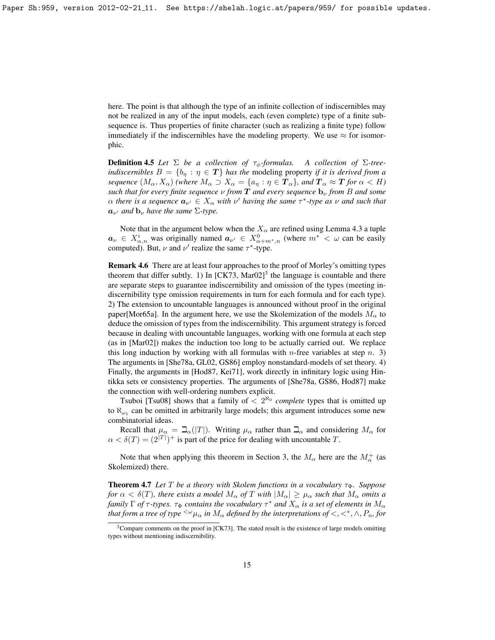here. The point is that although the type of an infinite collection of indiscernibles may not be realized in any of the input models, each (even complete) type of a finite subsequence is. Thus properties of finite character (such as realizing a finite type) follow immediately if the indiscernibles have the modeling property. We use  $\approx$  for isomorphic.

**Definition 4.5** *Let*  $\Sigma$  *be a collection of*  $\tau_{\phi}$ *-formulas.* A collection of  $\Sigma$ -tree*indiscernibles*  $B = \{b_n : \eta \in \mathbf{T}\}\$  *has the modeling property if it is derived from a sequence*  $(M_\alpha, X_\alpha)$  *(where*  $M_\alpha \supset X_\alpha = \{a_\eta : \eta \in \mathbf{T}_\alpha\}$ *, and*  $\mathbf{T}_\alpha \approx \mathbf{T}$  *for*  $\alpha < H$ *) such that for every finite sequence*  $\nu$  *from*  $\bf{T}$  *and every sequence*  $\bf{b}_{\nu}$  *from*  $\bf{B}$  *and some*  $\alpha$  there is a sequence  $a_{\nu'} \in X_\alpha$  with  $\nu'$  having the same  $\tau^*$ -type as  $\nu$  and such that  $a_{\nu'}$  *and*  $b_{\nu}$  *have the same*  $\Sigma$ -*type.* 

Note that in the argument below when the  $X_\alpha$  are refined using Lemma [4.3](#page-13-0) a tuple  $a_{\nu} \in X_{\alpha,n}^i$  was originally named  $a_{\nu'} \in X_{\alpha+m^*,n}^0$  (where  $m^* < \omega$  can be easily computed). But,  $\nu$  and  $\nu'$  realize the same  $\tau^*$ -type.

Remark 4.6 There are at least four approaches to the proof of Morley's omitting types theorem that differ subtly. 1) In  $[CK73, Mar02]<sup>3</sup>$  $[CK73, Mar02]<sup>3</sup>$  $[CK73, Mar02]<sup>3</sup>$  $[CK73, Mar02]<sup>3</sup>$  $[CK73, Mar02]<sup>3</sup>$  the language is countable and there are separate steps to guarantee indiscernibility and omission of the types (meeting indiscernibility type omission requirements in turn for each formula and for each type). 2) The extension to uncountable languages is announced without proof in the original paper[\[Mor65a\]](#page-17-15). In the argument here, we use the Skolemization of the models  $M_{\alpha}$  to deduce the omission of types from the indiscernibility. This argument strategy is forced because in dealing with uncountable languages, working with one formula at each step (as in [\[Mar02\]](#page-17-14)) makes the induction too long to be actually carried out. We replace this long induction by working with all formulas with *n*-free variables at step *n*. 3) The arguments in [\[She78a,](#page-17-0) [GL02,](#page-16-5) [GS86\]](#page-16-1) employ nonstandard-models of set theory. 4) Finally, the arguments in [\[Hod87,](#page-16-6) [Kei71\]](#page-17-16), work directly in infinitary logic using Hintikka sets or consistency properties. The arguments of [\[She78a,](#page-17-0) [GS86,](#page-16-1) [Hod87\]](#page-16-6) make the connection with well-ordering numbers explicit.

Tsuboi [\[Tsu08\]](#page-18-1) shows that a family of  $\langle 2^{N_0} \text{ complete types that is omitted up}$ to  $\aleph_{\omega_1}$  can be omitted in arbitrarily large models; this argument introduces some new combinatorial ideas.

Recall that  $\mu_{\alpha} = \beth_{\alpha}(|T|)$ . Writing  $\mu_{\alpha}$  rather than  $\beth_{\alpha}$  and considering  $M_{\alpha}$  for  $\alpha < \delta(T) = (2^{|T|})^+$  is part of the price for dealing with uncountable T.

Note that when applying this theorem in Section [3,](#page-6-0) the  $M_{\alpha}$  here are the  $M_{\alpha}^{+}$  (as Skolemized) there.

<span id="page-14-0"></span>**Theorem 4.7** *Let*  $T$  *be a theory with Skolem functions in a vocabulary*  $\tau_{\Phi}$ *. Suppose for*  $\alpha < \delta(T)$ *, there exists a model*  $M_{\alpha}$  *of* T *with*  $|M_{\alpha}| \geq \mu_{\alpha}$  *such that*  $M_{\alpha}$  *omits a family*  $\Gamma$  *of*  $\tau$ -types.  $\tau_{\Phi}$  contains the vocabulary  $\tau^*$  and  $X_{\alpha}$  is a set of elements in  $M_{\alpha}$ *that form a tree of type*  $^{<\omega}\mu_\alpha$  *in*  $M_\alpha$  *defined by the interpretations of*  $<, <^*, \wedge, P_n$ , *for* 

<span id="page-14-1"></span><sup>&</sup>lt;sup>3</sup>Compare comments on the proof in [\[CK73\]](#page-16-4). The stated result is the existence of large models omitting types without mentioning indiscernibility.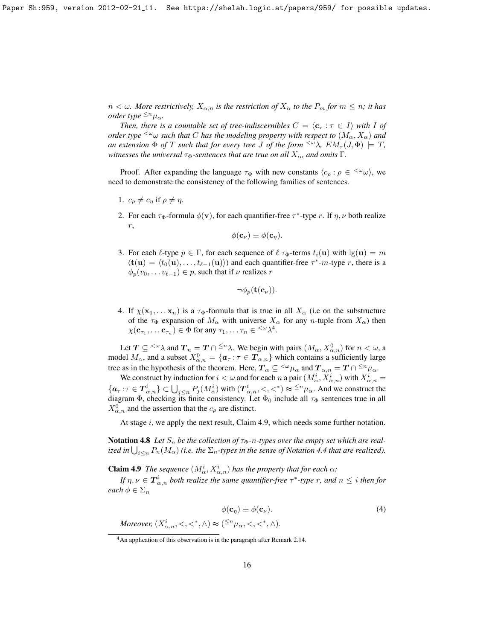$n < \omega$ *. More restrictively,*  $X_{\alpha,n}$  *is the restriction of*  $X_{\alpha}$  *to the*  $P_m$  *for*  $m \leq n$ *; it has order type*  $\leq^n \mu_\alpha$ *.* 

*Then, there is a countable set of tree-indiscernibles*  $C = \langle c_\tau : \tau \in I \rangle$  with I of *order type*  $\leq \omega$  *such that* C *has the modeling property with respect to*  $(M_\alpha, X_\alpha)$  *and an extension*  $\Phi$  *of* T *such that for every tree J of the form*  $\langle \omega \rangle$ ,  $EM_{\tau}(J, \Phi) \models T$ , *witnesses the universal*  $\tau_{\Phi}$ *-sentences that are true on all*  $X_{\alpha}$ *, and omits* Γ.

Proof. After expanding the language  $\tau_{\Phi}$  with new constants  $\langle c_{\rho} : \rho \in \langle \omega_{\omega} \rangle$ , we need to demonstrate the consistency of the following families of sentences.

- 1.  $c_{\rho} \neq c_{\eta}$  if  $\rho \neq \eta$ .
- 2. For each  $\tau_{\Phi}$ -formula  $\phi(\mathbf{v})$ , for each quantifier-free  $\tau^*$ -type r. If  $\eta$ ,  $\nu$  both realize r,

$$
\phi(\mathbf{c}_{\nu}) \equiv \phi(\mathbf{c}_{\eta}).
$$

3. For each  $\ell$ -type  $p \in \Gamma$ , for each sequence of  $\ell \tau_{\Phi}$ -terms  $t_i(\mathbf{u})$  with  $\lg(\mathbf{u}) = m$  $(t(\mathbf{u}) = \langle t_0(\mathbf{u}), \dots, t_{\ell-1}(\mathbf{u}) \rangle)$  and each quantifier-free  $\tau^*$ -*m*-type *r*, there is a  $\phi_p(v_0, \ldots v_{\ell-1}) \in p$ , such that if  $\nu$  realizes r

$$
\neg\phi_p(\textbf{t}(\textbf{c}_\nu)).
$$

4. If  $\chi(\mathbf{x}_1, \dots \mathbf{x}_n)$  is a  $\tau_{\Phi}$ -formula that is true in all  $X_{\alpha}$  (i.e on the substructure of the  $\tau_{\Phi}$  expansion of  $M_{\alpha}$  with universe  $X_{\alpha}$  for any *n*-tuple from  $X_{\alpha}$ ) then  $\chi(\mathbf{c}_{\tau_1}, \dots \mathbf{c}_{\tau_n}) \in \Phi$  for any  $\tau_1, \dots \tau_n \in \langle \omega \rangle^4$  $\tau_1, \dots \tau_n \in \langle \omega \rangle^4$ .

Let  $T \subseteq \langle^{\omega} \lambda \text{ and } T_n = T \cap \langle^{\alpha} \lambda \rangle$ . We begin with pairs  $(M_\alpha, X_{\alpha,n}^0)$  for  $n < \omega$ , a model  $M_{\alpha}$ , and a subset  $X_{\alpha,n}^0 = \{a_\tau : \tau \in \mathcal{T}_{\alpha,n}\}\$  which contains a sufficiently large tree as in the hypothesis of the theorem. Here,  $T_{\alpha} \subseteq \langle^{\omega} \mu_{\alpha} \text{ and } T_{\alpha,n} = T \cap \langle^{\leq n} \mu_{\alpha} \rangle$ .

We construct by induction for  $i < \omega$  and for each n a pair  $(M_\alpha^i, X_{\alpha,n}^i)$  with  $X_{\alpha,n}^i =$  $\{a_{\tau}: \tau \in T^i_{\alpha,n}\}\subset \bigcup_{j\leq n}P_j(M^i_{\alpha})$  with  $(T^i_{\alpha,n},<,<^*)\approx \frac{1}{n}\mu_{\alpha}$ . And we construct the diagram  $\Phi$ , checking its finite consistency. Let  $\Phi_0$  include all  $\tau_{\Phi}$  sentences true in all  $X^0_{\alpha,n}$  and the assertion that the  $c_\rho$  are distinct.

At stage  $i$ , we apply the next result, Claim [4.9,](#page-15-1) which needs some further notation.

**Notation 4.8** Let  $S_n$  be the collection of  $\tau_{\Phi}$ -*n*-types over the empty set which are realized in  $\bigcup_{i\leq n} P_n(M_\alpha)$  (i.e. the  $\Sigma_n$ -types in the sense of Notation [4.4](#page-13-1) that are realized).

<span id="page-15-1"></span>**Claim 4.9** *The sequence*  $(M^i_\alpha, X^i_{\alpha,n})$  *has the property that for each*  $\alpha$ *:* 

*If*  $\eta, \nu \in \mathbf{T}_{\alpha,n}^i$  both realize the same quantifier-free  $\tau^*$ -type  $r$ , and  $n \leq i$  then for *each*  $\phi \in \Sigma_n$ 

<span id="page-15-2"></span>
$$
\phi(\mathbf{c}_{\eta}) \equiv \phi(\mathbf{c}_{\nu}).
$$
\n
$$
\text{Moreover, } (X_{\alpha,n}^{i}, <, <^*, \wedge) \approx (^{\leq n} \mu_{\alpha}, <, <^*, \wedge).
$$
\n
$$
(4)
$$

<span id="page-15-0"></span><sup>&</sup>lt;sup>4</sup>An application of this observation is in the paragraph after Remark [2.14.](#page-5-4)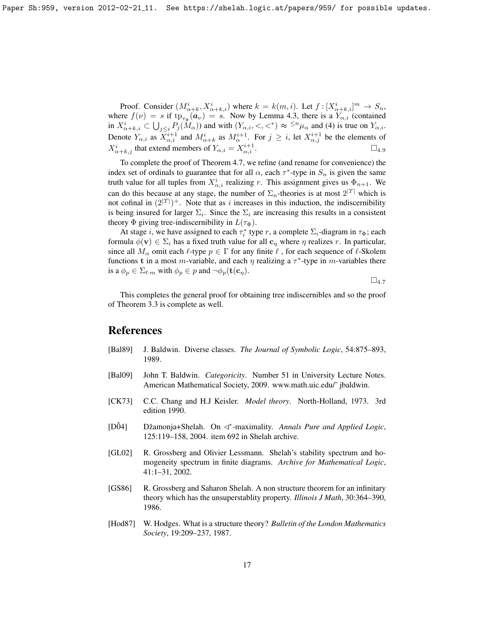Proof. Consider  $(M^i_{\alpha+k}, X^i_{\alpha+k,i})$  where  $k = k(m,i)$ . Let  $f: [X^i_{\alpha+k,i}]^m \to S_n$ , where  $f(\nu) = s$  if  $\text{tp}_{\tau_{\Phi}}(\boldsymbol{a}_{\nu}) = s$ . Now by Lemma [4.3,](#page-13-0) there is a  $Y_{\alpha,i}$  (contained in  $X^i_{\alpha+k,i} \subset \bigcup_{j \leq i} P_j(M_\alpha)$  and with  $(Y_{\alpha,i}, \langle \cdot, \cdot \rangle) \approx \frac{1}{n} \mu_\alpha$  and [\(4\)](#page-15-2) is true on  $Y_{\alpha,i}$ . Denote  $Y_{\alpha,i}$  as  $X_{\alpha,i}^{i+1}$  and  $M_{\alpha+k}^i$  as  $M_{\alpha}^{i+1}$ . For  $j \geq i$ , let  $X_{\alpha,j}^{i+1}$  be the elements of  $X^i_{\alpha+k,j}$  that extend members of  $Y_{\alpha,i} = X^{i+1}_{\alpha,i}$  $\overline{\alpha,i}$  .  $\Box_{4.9}$  $\Box_{4.9}$  $\Box_{4.9}$ 

To complete the proof of Theorem [4.7,](#page-14-0) we refine (and rename for convenience) the index set of ordinals to guarantee that for all  $\alpha$ , each  $\tau^*$ -type in  $S_n$  is given the same truth value for all tuples from  $X^i_{\alpha,i}$  realizing r. This assignment gives us  $\Phi_{n+1}$ . We can do this because at any stage, the number of  $\Sigma_n$ -theories is at most  $2^{|T|}$  which is not cofinal in  $(2^{|T|})^+$ . Note that as i increases in this induction, the indiscernibility is being insured for larger  $\Sigma_i$ . Since the  $\Sigma_i$  are increasing this results in a consistent theory  $\Phi$  giving tree-indiscernibility in  $L(\tau_{\Phi})$ .

At stage *i*, we have assigned to each  $\tau_i^*$  type *r*, a complete  $\Sigma_i$ -diagram in  $\tau_{\Phi}$ ; each formula  $\phi(\mathbf{v}) \in \Sigma_i$  has a fixed truth value for all  $\mathbf{c}_{\eta}$  where  $\eta$  realizes r. In particular, since all  $M_\alpha$  omit each  $\ell$ -type  $p \in \Gamma$  for any finite  $\ell$ , for each sequence of  $\ell$ -Skolem functions t in a most m-variable, and each  $\eta$  realizing a  $\tau^*$ -type in m-variables there is a  $\phi_p \in \Sigma_{\ell,m}$  with  $\phi_p \in p$  and  $\neg \phi_p(\mathbf{t}(\mathbf{c}_\eta)).$ 

 $\square_{4.7}$  $\square_{4.7}$  $\square_{4.7}$ 

This completes the general proof for obtaining tree indiscernibles and so the proof of Theorem [3.3](#page-7-0) is complete as well.

#### References

- <span id="page-16-3"></span>[Bal89] J. Baldwin. Diverse classes. *The Journal of Symbolic Logic*, 54:875–893, 1989.
- <span id="page-16-0"></span>[Bal09] John T. Baldwin. *Categoricity*. Number 51 in University Lecture Notes. American Mathematical Society, 2009. www.math.uic.edu/˜ jbaldwin.
- <span id="page-16-4"></span>[CK73] C.C. Chang and H.J Keisler. *Model theory*. North-Holland, 1973. 3rd edition 1990.
- <span id="page-16-2"></span>[DŎ4] Džamonja+Shelah. On <<sup>\*</sup>-maximality. *Annals Pure and Applied Logic*, 125:119–158, 2004. item 692 in Shelah archive.
- <span id="page-16-5"></span>[GL02] R. Grossberg and Olivier Lessmann. Shelah's stability spectrum and homogeneity spectrum in finite diagrams. *Archive for Mathematical Logic*, 41:1–31, 2002.
- <span id="page-16-1"></span>[GS86] R. Grossberg and Saharon Shelah. A non structure theorem for an infinitary theory which has the unsuperstablity property. *Illinois J Math*, 30:364–390, 1986.
- <span id="page-16-6"></span>[Hod87] W. Hodges. What is a structure theory? *Bulletin of the London Mathematics Society*, 19:209–237, 1987.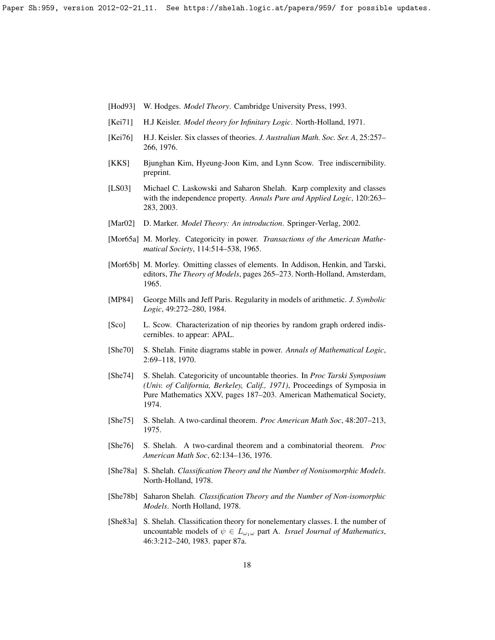Paper Sh:959, version 2012-02-21\_11. See https://shelah.logic.at/papers/959/ for possible updates.

- <span id="page-17-5"></span>[Hod93] W. Hodges. *Model Theory*. Cambridge University Press, 1993.
- <span id="page-17-16"></span>[Kei71] H.J Keisler. *Model theory for Infinitary Logic*. North-Holland, 1971.
- <span id="page-17-1"></span>[Kei76] H.J. Keisler. Six classes of theories. *J. Australian Math. Soc. Ser. A*, 25:257– 266, 1976.
- <span id="page-17-11"></span>[KKS] Bjunghan Kim, Hyeung-Joon Kim, and Lynn Scow. Tree indiscernibility. preprint.
- <span id="page-17-12"></span>[LS03] Michael C. Laskowski and Saharon Shelah. Karp complexity and classes with the independence property. *Annals Pure and Applied Logic*, 120:263– 283, 2003.
- <span id="page-17-14"></span>[Mar02] D. Marker. *Model Theory: An introduction*. Springer-Verlag, 2002.
- <span id="page-17-15"></span>[Mor65a] M. Morley. Categoricity in power. *Transactions of the American Mathematical Society*, 114:514–538, 1965.
- <span id="page-17-7"></span>[Mor65b] M. Morley. Omitting classes of elements. In Addison, Henkin, and Tarski, editors, *The Theory of Models*, pages 265–273. North-Holland, Amsterdam, 1965.
- <span id="page-17-10"></span>[MP84] George Mills and Jeff Paris. Regularity in models of arithmetic. *J. Symbolic Logic*, 49:272–280, 1984.
- <span id="page-17-13"></span>[Sco] L. Scow. Characterization of nip theories by random graph ordered indiscernibles. to appear: APAL.
- <span id="page-17-2"></span>[She70] S. Shelah. Finite diagrams stable in power. *Annals of Mathematical Logic*, 2:69–118, 1970.
- <span id="page-17-6"></span>[She74] S. Shelah. Categoricity of uncountable theories. In *Proc Tarski Symposium (Univ. of California, Berkeley, Calif., 1971)*, Proceedings of Symposia in Pure Mathematics XXV, pages 187–203. American Mathematical Society, 1974.
- <span id="page-17-8"></span>[She75] S. Shelah. A two-cardinal theorem. *Proc American Math Soc*, 48:207–213, 1975.
- <span id="page-17-9"></span>[She76] S. Shelah. A two-cardinal theorem and a combinatorial theorem. *Proc American Math Soc*, 62:134–136, 1976.
- <span id="page-17-0"></span>[She78a] S. Shelah. *Classification Theory and the Number of Nonisomorphic Models*. North-Holland, 1978.
- <span id="page-17-4"></span>[She78b] Saharon Shelah. *Classification Theory and the Number of Non-isomorphic Models*. North Holland, 1978.
- <span id="page-17-3"></span>[She83a] S. Shelah. Classification theory for nonelementary classes. I. the number of uncountable models of  $\psi \in L_{\omega_1\omega}$  part A. *Israel Journal of Mathematics*, 46:3:212–240, 1983. paper 87a.